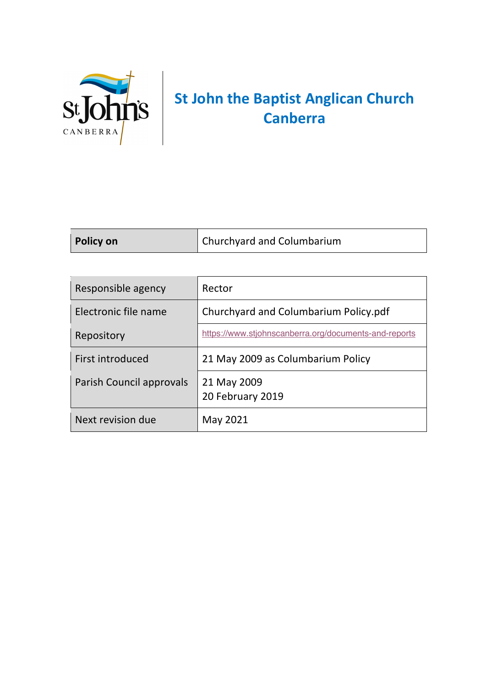

# **St John the Baptist Anglican Church Canberra**

| <b>Policy on</b> | Churchyard and Columbarium |
|------------------|----------------------------|
|                  |                            |

| Responsible agency       | Rector                                                |
|--------------------------|-------------------------------------------------------|
| Electronic file name     | Churchyard and Columbarium Policy.pdf                 |
| Repository               | https://www.stjohnscanberra.org/documents-and-reports |
| First introduced         | 21 May 2009 as Columbarium Policy                     |
| Parish Council approvals | 21 May 2009<br>20 February 2019                       |
| Next revision due        | May 2021                                              |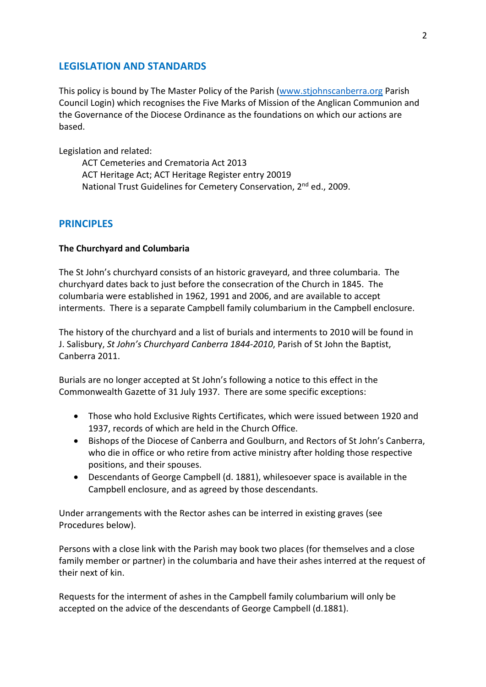## **LEGISLATION AND STANDARDS**

This policy is bound by The Master Policy of the Parish (www.stjohnscanberra.org Parish Council Login) which recognises the Five Marks of Mission of the Anglican Communion and the Governance of the Diocese Ordinance as the foundations on which our actions are based.

Legislation and related:

ACT Cemeteries and Crematoria Act 2013 ACT Heritage Act; ACT Heritage Register entry 20019 National Trust Guidelines for Cemetery Conservation, 2<sup>nd</sup> ed., 2009.

## **PRINCIPLES**

#### **The Churchyard and Columbaria**

The St John's churchyard consists of an historic graveyard, and three columbaria. The churchyard dates back to just before the consecration of the Church in 1845. The columbaria were established in 1962, 1991 and 2006, and are available to accept interments. There is a separate Campbell family columbarium in the Campbell enclosure.

The history of the churchyard and a list of burials and interments to 2010 will be found in J. Salisbury, *St John's Churchyard Canberra 1844-2010*, Parish of St John the Baptist, Canberra 2011.

Burials are no longer accepted at St John's following a notice to this effect in the Commonwealth Gazette of 31 July 1937. There are some specific exceptions:

- Those who hold Exclusive Rights Certificates, which were issued between 1920 and 1937, records of which are held in the Church Office.
- Bishops of the Diocese of Canberra and Goulburn, and Rectors of St John's Canberra, who die in office or who retire from active ministry after holding those respective positions, and their spouses.
- Descendants of George Campbell (d. 1881), whilesoever space is available in the Campbell enclosure, and as agreed by those descendants.

Under arrangements with the Rector ashes can be interred in existing graves (see Procedures below).

Persons with a close link with the Parish may book two places (for themselves and a close family member or partner) in the columbaria and have their ashes interred at the request of their next of kin.

Requests for the interment of ashes in the Campbell family columbarium will only be accepted on the advice of the descendants of George Campbell (d.1881).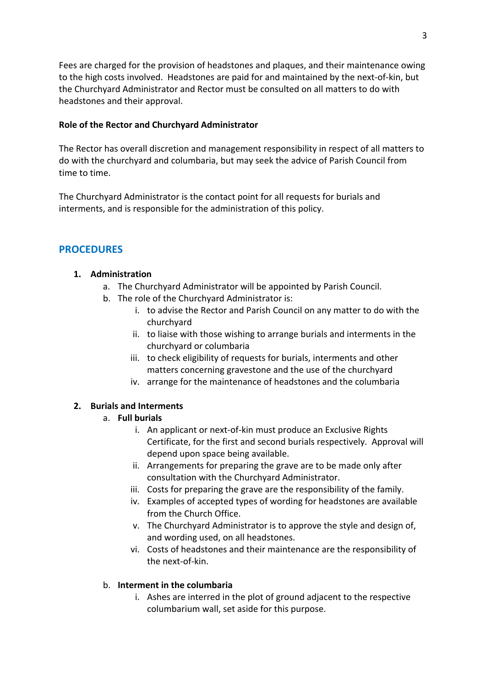Fees are charged for the provision of headstones and plaques, and their maintenance owing to the high costs involved. Headstones are paid for and maintained by the next-of-kin, but the Churchyard Administrator and Rector must be consulted on all matters to do with headstones and their approval.

#### **Role of the Rector and Churchyard Administrator**

The Rector has overall discretion and management responsibility in respect of all matters to do with the churchyard and columbaria, but may seek the advice of Parish Council from time to time.

The Churchyard Administrator is the contact point for all requests for burials and interments, and is responsible for the administration of this policy.

#### **PROCEDURES**

#### **1. Administration**

- a. The Churchyard Administrator will be appointed by Parish Council.
- b. The role of the Churchyard Administrator is:
	- i. to advise the Rector and Parish Council on any matter to do with the churchyard
	- ii. to liaise with those wishing to arrange burials and interments in the churchyard or columbaria
	- iii. to check eligibility of requests for burials, interments and other matters concerning gravestone and the use of the churchyard
	- iv. arrange for the maintenance of headstones and the columbaria

#### **2. Burials and Interments**

#### a. **Full burials**

- i. An applicant or next-of-kin must produce an Exclusive Rights Certificate, for the first and second burials respectively. Approval will depend upon space being available.
- ii. Arrangements for preparing the grave are to be made only after consultation with the Churchyard Administrator.
- iii. Costs for preparing the grave are the responsibility of the family.
- iv. Examples of accepted types of wording for headstones are available from the Church Office.
- v. The Churchyard Administrator is to approve the style and design of, and wording used, on all headstones.
- vi. Costs of headstones and their maintenance are the responsibility of the next-of-kin.

#### b. **Interment in the columbaria**

i. Ashes are interred in the plot of ground adjacent to the respective columbarium wall, set aside for this purpose.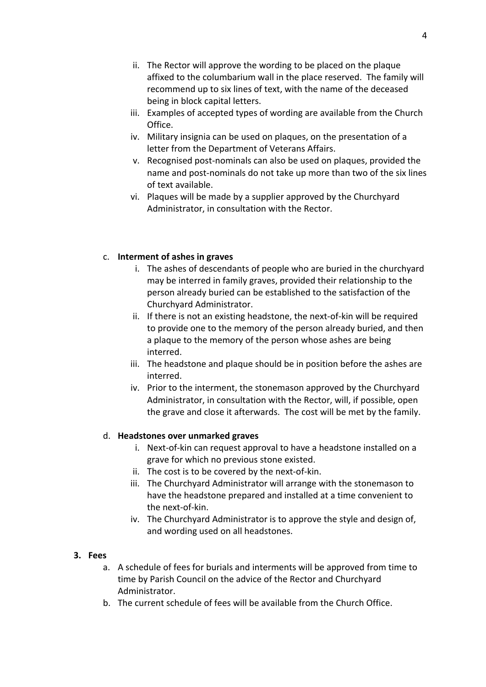- ii. The Rector will approve the wording to be placed on the plaque affixed to the columbarium wall in the place reserved. The family will recommend up to six lines of text, with the name of the deceased being in block capital letters.
- iii. Examples of accepted types of wording are available from the Church Office.
- iv. Military insignia can be used on plaques, on the presentation of a letter from the Department of Veterans Affairs.
- v. Recognised post-nominals can also be used on plaques, provided the name and post-nominals do not take up more than two of the six lines of text available.
- vi. Plaques will be made by a supplier approved by the Churchyard Administrator, in consultation with the Rector.

## c. **Interment of ashes in graves**

- i. The ashes of descendants of people who are buried in the churchyard may be interred in family graves, provided their relationship to the person already buried can be established to the satisfaction of the Churchyard Administrator.
- ii. If there is not an existing headstone, the next-of-kin will be required to provide one to the memory of the person already buried, and then a plaque to the memory of the person whose ashes are being interred.
- iii. The headstone and plaque should be in position before the ashes are interred.
- iv. Prior to the interment, the stonemason approved by the Churchyard Administrator, in consultation with the Rector, will, if possible, open the grave and close it afterwards. The cost will be met by the family.

## d. **Headstones over unmarked graves**

- i. Next-of-kin can request approval to have a headstone installed on a grave for which no previous stone existed.
- ii. The cost is to be covered by the next-of-kin.
- iii. The Churchyard Administrator will arrange with the stonemason to have the headstone prepared and installed at a time convenient to the next-of-kin.
- iv. The Churchyard Administrator is to approve the style and design of, and wording used on all headstones.

## **3. Fees**

- a. A schedule of fees for burials and interments will be approved from time to time by Parish Council on the advice of the Rector and Churchyard Administrator.
- b. The current schedule of fees will be available from the Church Office.